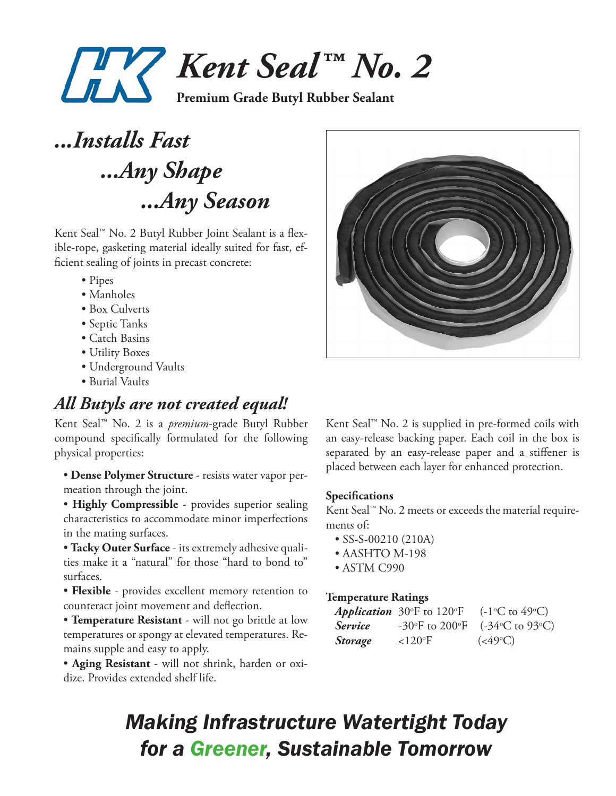

*...Installs Fast ...Any Shape ...Any Season*

Kent Seal™ No. 2 Butyl Rubber Joint Sealant is a flexible-rope, gasketing material ideally suited for fast, efficient sealing of joints in precast concrete:

- Pipes
- Manholes
- Box Culverts
- Septic Tanks
- Catch Basins
- Utility Boxes
- Underground Vaults
- Burial Vaults

## *All Butyls are not created equal!*

Kent Seal™ No. 2 is a *premium*-grade Butyl Rubber compound specifically formulated for the following physical properties:

• **Dense Polymer Structure** - resists water vapor permeation through the joint.

• **Highly Compressible** - provides superior sealing characteristics to accommodate minor imperfections in the mating surfaces.

• **Tacky Outer Surface** - its extremely adhesive qualities make it a "natural" for those "hard to bond to" surfaces.

• **Flexible** - provides excellent memory retention to counteract joint movement and deflection.

• **Temperature Resistant** - will not go brittle at low temperatures or spongy at elevated temperatures. Remains supple and easy to apply.

• **Aging Resistant** - will not shrink, harden or oxidize. Provides extended shelf life.



Kent Seal™ No. 2 is supplied in pre-formed coils with an easy-release backing paper. Each coil in the box is separated by an easy-release paper and a stiffener is placed between each layer for enhanced protection.

### **Specifications**

Kent Seal™ No. 2 meets or exceeds the material requirements of:

- SS-S-00210 (210A)
- AASHTO M-198
- ASTM C990

### **Temperature Ratings**

|                | <i>Application</i> 30 $\mathrm{^{\circ}F}$ to 120 $\mathrm{^{\circ}F}$ | $(-1^{\circ}C \text{ to } 49^{\circ}C)$ |
|----------------|------------------------------------------------------------------------|-----------------------------------------|
| <i>Service</i> |                                                                        | -30°F to 200°F $(-34$ °C to 93°C)       |
| <b>Storage</b> | $<120$ <sup>o</sup> F                                                  | $(<49^{\circ}C)$                        |

# *Making Infrastructure Watertight Today for a Greener, Sustainable Tomorrow*